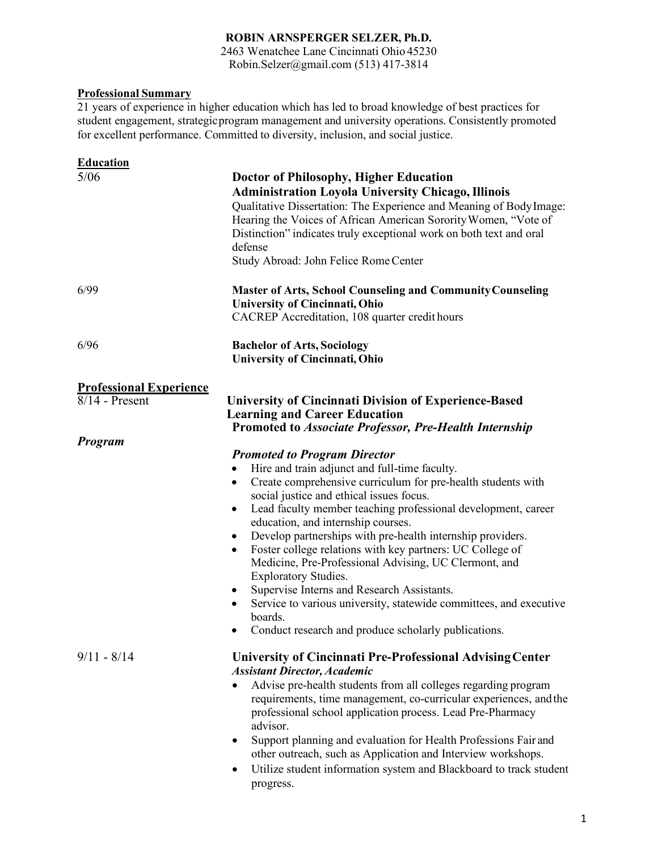# **ROBIN ARNSPERGER SELZER, Ph.D.**

2463 Wenatchee Lane Cincinnati Ohio 45230 Robin.Selzer@gmail.com (513) 417-3814

## **Professional Summary**

21 years of experience in higher education which has led to broad knowledge of best practices for student engagement, strategicprogram management and university operations. Consistently promoted for excellent performance. Committed to diversity, inclusion, and social justice.

| <b>Education</b>                                   |                                                                                                                                                                                                                                                                                                                                                                                                                                                                                                                                                                                                                                                                                                                                                                         |
|----------------------------------------------------|-------------------------------------------------------------------------------------------------------------------------------------------------------------------------------------------------------------------------------------------------------------------------------------------------------------------------------------------------------------------------------------------------------------------------------------------------------------------------------------------------------------------------------------------------------------------------------------------------------------------------------------------------------------------------------------------------------------------------------------------------------------------------|
| 5/06                                               | <b>Doctor of Philosophy, Higher Education</b><br><b>Administration Loyola University Chicago, Illinois</b><br>Qualitative Dissertation: The Experience and Meaning of Body Image:<br>Hearing the Voices of African American Sorority Women, "Vote of<br>Distinction" indicates truly exceptional work on both text and oral<br>defense<br>Study Abroad: John Felice Rome Center                                                                                                                                                                                                                                                                                                                                                                                         |
| 6/99                                               | <b>Master of Arts, School Counseling and Community Counseling</b><br>University of Cincinnati, Ohio<br>CACREP Accreditation, 108 quarter credit hours                                                                                                                                                                                                                                                                                                                                                                                                                                                                                                                                                                                                                   |
| 6/96                                               | <b>Bachelor of Arts, Sociology</b><br>University of Cincinnati, Ohio                                                                                                                                                                                                                                                                                                                                                                                                                                                                                                                                                                                                                                                                                                    |
| <b>Professional Experience</b><br>$8/14$ - Present | <b>University of Cincinnati Division of Experience-Based</b><br><b>Learning and Career Education</b><br><b>Promoted to Associate Professor, Pre-Health Internship</b>                                                                                                                                                                                                                                                                                                                                                                                                                                                                                                                                                                                                   |
| Program                                            | <b>Promoted to Program Director</b><br>Hire and train adjunct and full-time faculty.<br>٠<br>Create comprehensive curriculum for pre-health students with<br>$\bullet$<br>social justice and ethical issues focus.<br>Lead faculty member teaching professional development, career<br>$\bullet$<br>education, and internship courses.<br>Develop partnerships with pre-health internship providers.<br>Foster college relations with key partners: UC College of<br>$\bullet$<br>Medicine, Pre-Professional Advising, UC Clermont, and<br><b>Exploratory Studies.</b><br>Supervise Interns and Research Assistants.<br>٠<br>Service to various university, statewide committees, and executive<br>boards.<br>Conduct research and produce scholarly publications.<br>٠ |
| $9/11 - 8/14$                                      | <b>University of Cincinnati Pre-Professional Advising Center</b><br><b>Assistant Director, Academic</b><br>Advise pre-health students from all colleges regarding program<br>requirements, time management, co-curricular experiences, and the<br>professional school application process. Lead Pre-Pharmacy<br>advisor.<br>Support planning and evaluation for Health Professions Fair and<br>٠<br>other outreach, such as Application and Interview workshops.<br>Utilize student information system and Blackboard to track student<br>progress.                                                                                                                                                                                                                     |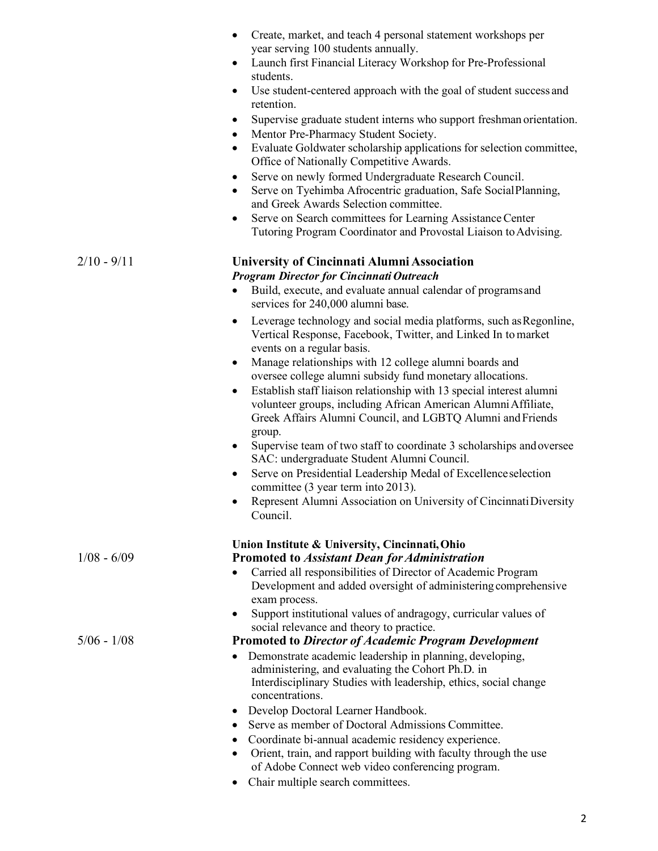|               | Create, market, and teach 4 personal statement workshops per                                                                                                           |
|---------------|------------------------------------------------------------------------------------------------------------------------------------------------------------------------|
|               | year serving 100 students annually.<br>Launch first Financial Literacy Workshop for Pre-Professional<br>٠                                                              |
|               | students.                                                                                                                                                              |
|               | Use student-centered approach with the goal of student success and<br>٠<br>retention.                                                                                  |
|               | Supervise graduate student interns who support freshman orientation.<br>٠<br>Mentor Pre-Pharmacy Student Society.<br>$\bullet$                                         |
|               | Evaluate Goldwater scholarship applications for selection committee,<br>Office of Nationally Competitive Awards.                                                       |
|               | Serve on newly formed Undergraduate Research Council.<br>$\bullet$                                                                                                     |
|               | Serve on Tyehimba Afrocentric graduation, Safe SocialPlanning,<br>$\bullet$<br>and Greek Awards Selection committee.                                                   |
|               | Serve on Search committees for Learning Assistance Center<br>Tutoring Program Coordinator and Provostal Liaison to Advising.                                           |
| $2/10 - 9/11$ | University of Cincinnati Alumni Association                                                                                                                            |
|               | <b>Program Director for Cincinnati Outreach</b><br>Build, execute, and evaluate annual calendar of programs and<br>$\bullet$                                           |
|               | services for 240,000 alumni base.                                                                                                                                      |
|               | Leverage technology and social media platforms, such as Regonline,<br>٠<br>Vertical Response, Facebook, Twitter, and Linked In to market<br>events on a regular basis. |
|               | Manage relationships with 12 college alumni boards and<br>$\bullet$                                                                                                    |
|               | oversee college alumni subsidy fund monetary allocations.                                                                                                              |
|               | Establish staff liaison relationship with 13 special interest alumni<br>$\bullet$<br>volunteer groups, including African American Alumni Affiliate,                    |
|               | Greek Affairs Alumni Council, and LGBTQ Alumni and Friends<br>group.                                                                                                   |
|               | Supervise team of two staff to coordinate 3 scholarships and oversee<br>٠<br>SAC: undergraduate Student Alumni Council.                                                |
|               | Serve on Presidential Leadership Medal of Excellence selection<br>$\bullet$<br>committee (3 year term into 2013).                                                      |
|               | Represent Alumni Association on University of Cincinnati Diversity                                                                                                     |
|               | Council.                                                                                                                                                               |
|               | Union Institute & University, Cincinnati, Ohio                                                                                                                         |
| $1/08 - 6/09$ | <b>Promoted to Assistant Dean for Administration</b><br>Carried all responsibilities of Director of Academic Program                                                   |
|               | Development and added oversight of administering comprehensive                                                                                                         |
|               | exam process.                                                                                                                                                          |
|               | Support institutional values of andragogy, curricular values of<br>social relevance and theory to practice.                                                            |
| $5/06 - 1/08$ | <b>Promoted to Director of Academic Program Development</b>                                                                                                            |
|               | Demonstrate academic leadership in planning, developing,                                                                                                               |
|               | administering, and evaluating the Cohort Ph.D. in                                                                                                                      |
|               | Interdisciplinary Studies with leadership, ethics, social change<br>concentrations.                                                                                    |
|               | Develop Doctoral Learner Handbook.<br>٠                                                                                                                                |
|               | Serve as member of Doctoral Admissions Committee.<br>٠                                                                                                                 |
|               | Coordinate bi-annual academic residency experience.                                                                                                                    |
|               | Orient, train, and rapport building with faculty through the use<br>٠<br>of Adobe Connect web video conferencing program.                                              |
|               | Chair multiple search committees.<br>٠                                                                                                                                 |
|               |                                                                                                                                                                        |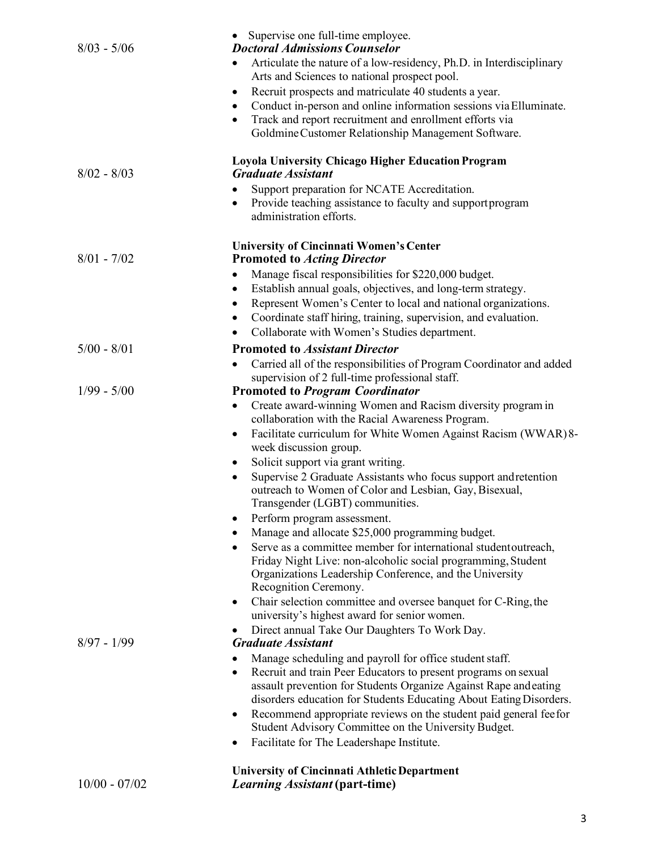| $8/03 - 5/06$   | Supervise one full-time employee.<br><b>Doctoral Admissions Counselor</b>                                                                                                                               |
|-----------------|---------------------------------------------------------------------------------------------------------------------------------------------------------------------------------------------------------|
|                 | Articulate the nature of a low-residency, Ph.D. in Interdisciplinary<br>Arts and Sciences to national prospect pool.                                                                                    |
|                 | Recruit prospects and matriculate 40 students a year.<br>$\bullet$                                                                                                                                      |
|                 | Conduct in-person and online information sessions via Elluminate.<br>$\bullet$                                                                                                                          |
|                 | Track and report recruitment and enrollment efforts via<br>٠                                                                                                                                            |
|                 | Goldmine Customer Relationship Management Software.                                                                                                                                                     |
|                 | <b>Loyola University Chicago Higher Education Program</b>                                                                                                                                               |
| $8/02 - 8/03$   | <b>Graduate Assistant</b>                                                                                                                                                                               |
|                 | Support preparation for NCATE Accreditation.                                                                                                                                                            |
|                 | Provide teaching assistance to faculty and support program<br>٠<br>administration efforts.                                                                                                              |
|                 | <b>University of Cincinnati Women's Center</b>                                                                                                                                                          |
| $8/01 - 7/02$   | <b>Promoted to Acting Director</b>                                                                                                                                                                      |
|                 | Manage fiscal responsibilities for \$220,000 budget.                                                                                                                                                    |
|                 | Establish annual goals, objectives, and long-term strategy.<br>$\bullet$                                                                                                                                |
|                 | Represent Women's Center to local and national organizations.<br>٠                                                                                                                                      |
|                 | Coordinate staff hiring, training, supervision, and evaluation.                                                                                                                                         |
|                 | Collaborate with Women's Studies department.                                                                                                                                                            |
| $5/00 - 8/01$   | <b>Promoted to Assistant Director</b>                                                                                                                                                                   |
|                 | Carried all of the responsibilities of Program Coordinator and added<br>$\bullet$                                                                                                                       |
| $1/99 - 5/00$   | supervision of 2 full-time professional staff.<br><b>Promoted to Program Coordinator</b>                                                                                                                |
|                 | Create award-winning Women and Racism diversity program in<br>$\bullet$                                                                                                                                 |
|                 | collaboration with the Racial Awareness Program.                                                                                                                                                        |
|                 | Facilitate curriculum for White Women Against Racism (WWAR)8-<br>٠<br>week discussion group.                                                                                                            |
|                 | Solicit support via grant writing.<br>٠                                                                                                                                                                 |
|                 | Supervise 2 Graduate Assistants who focus support and retention<br>$\bullet$                                                                                                                            |
|                 | outreach to Women of Color and Lesbian, Gay, Bisexual,<br>Transgender (LGBT) communities.                                                                                                               |
|                 | Perform program assessment.<br>$\bullet$                                                                                                                                                                |
|                 | Manage and allocate \$25,000 programming budget.                                                                                                                                                        |
|                 | Serve as a committee member for international student outreach,<br>$\bullet$<br>Friday Night Live: non-alcoholic social programming, Student<br>Organizations Leadership Conference, and the University |
|                 | Recognition Ceremony.                                                                                                                                                                                   |
|                 | Chair selection committee and oversee banquet for C-Ring, the<br>٠                                                                                                                                      |
|                 | university's highest award for senior women.                                                                                                                                                            |
|                 | Direct annual Take Our Daughters To Work Day.                                                                                                                                                           |
| $8/97 - 1/99$   | <b>Graduate Assistant</b>                                                                                                                                                                               |
|                 | Manage scheduling and payroll for office student staff.                                                                                                                                                 |
|                 | Recruit and train Peer Educators to present programs on sexual<br>$\bullet$<br>assault prevention for Students Organize Against Rape and eating                                                         |
|                 | disorders education for Students Educating About Eating Disorders.                                                                                                                                      |
|                 | Recommend appropriate reviews on the student paid general fee for<br>٠                                                                                                                                  |
|                 | Student Advisory Committee on the University Budget.                                                                                                                                                    |
|                 | Facilitate for The Leadershape Institute.<br>٠                                                                                                                                                          |
|                 | <b>University of Cincinnati Athletic Department</b>                                                                                                                                                     |
| $10/00 - 07/02$ | <i>Learning Assistant</i> (part-time)                                                                                                                                                                   |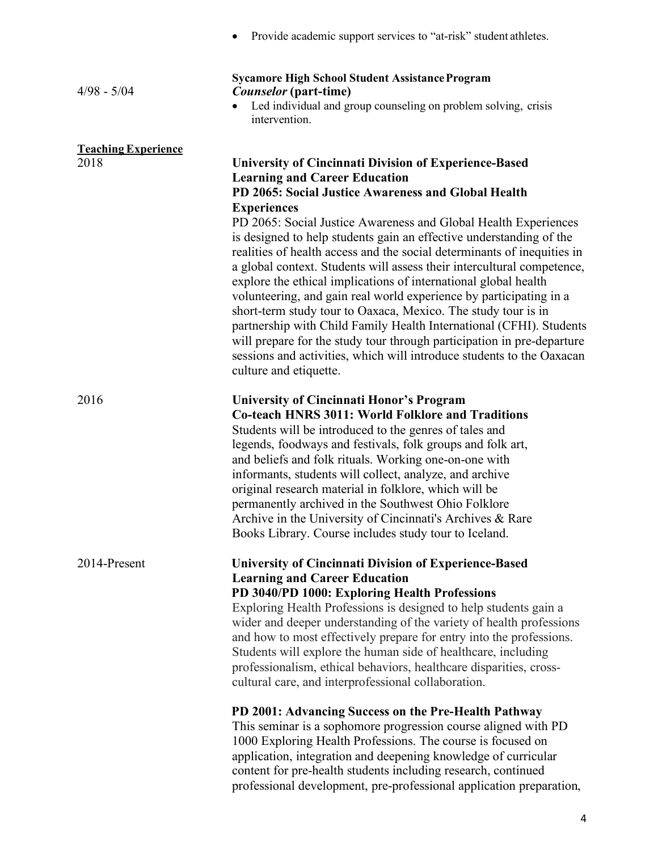|                                    | Provide academic support services to "at-risk" student athletes.                                                                                                                                                                                                                                                                                                                                                                                                                                                                                                                                                                                                                                                                                                                                                                                                                                                                                                         |
|------------------------------------|--------------------------------------------------------------------------------------------------------------------------------------------------------------------------------------------------------------------------------------------------------------------------------------------------------------------------------------------------------------------------------------------------------------------------------------------------------------------------------------------------------------------------------------------------------------------------------------------------------------------------------------------------------------------------------------------------------------------------------------------------------------------------------------------------------------------------------------------------------------------------------------------------------------------------------------------------------------------------|
| $4/98 - 5/04$                      | <b>Sycamore High School Student Assistance Program</b><br><i>Counselor</i> (part-time)<br>Led individual and group counseling on problem solving, crisis<br>intervention.                                                                                                                                                                                                                                                                                                                                                                                                                                                                                                                                                                                                                                                                                                                                                                                                |
| <b>Teaching Experience</b><br>2018 | <b>University of Cincinnati Division of Experience-Based</b><br><b>Learning and Career Education</b><br>PD 2065: Social Justice Awareness and Global Health<br><b>Experiences</b><br>PD 2065: Social Justice Awareness and Global Health Experiences<br>is designed to help students gain an effective understanding of the<br>realities of health access and the social determinants of inequities in<br>a global context. Students will assess their intercultural competence,<br>explore the ethical implications of international global health<br>volunteering, and gain real world experience by participating in a<br>short-term study tour to Oaxaca, Mexico. The study tour is in<br>partnership with Child Family Health International (CFHI). Students<br>will prepare for the study tour through participation in pre-departure<br>sessions and activities, which will introduce students to the Oaxacan<br>culture and etiquette.                           |
| 2016                               | University of Cincinnati Honor's Program<br><b>Co-teach HNRS 3011: World Folklore and Traditions</b><br>Students will be introduced to the genres of tales and<br>legends, foodways and festivals, folk groups and folk art,<br>and beliefs and folk rituals. Working one-on-one with<br>informants, students will collect, analyze, and archive<br>original research material in folklore, which will be<br>permanently archived in the Southwest Ohio Folklore<br>Archive in the University of Cincinnati's Archives & Rare<br>Books Library. Course includes study tour to Iceland.                                                                                                                                                                                                                                                                                                                                                                                   |
| 2014-Present                       | <b>University of Cincinnati Division of Experience-Based</b><br><b>Learning and Career Education</b><br>PD 3040/PD 1000: Exploring Health Professions<br>Exploring Health Professions is designed to help students gain a<br>wider and deeper understanding of the variety of health professions<br>and how to most effectively prepare for entry into the professions.<br>Students will explore the human side of healthcare, including<br>professionalism, ethical behaviors, healthcare disparities, cross-<br>cultural care, and interprofessional collaboration.<br>PD 2001: Advancing Success on the Pre-Health Pathway<br>This seminar is a sophomore progression course aligned with PD<br>1000 Exploring Health Professions. The course is focused on<br>application, integration and deepening knowledge of curricular<br>content for pre-health students including research, continued<br>professional development, pre-professional application preparation, |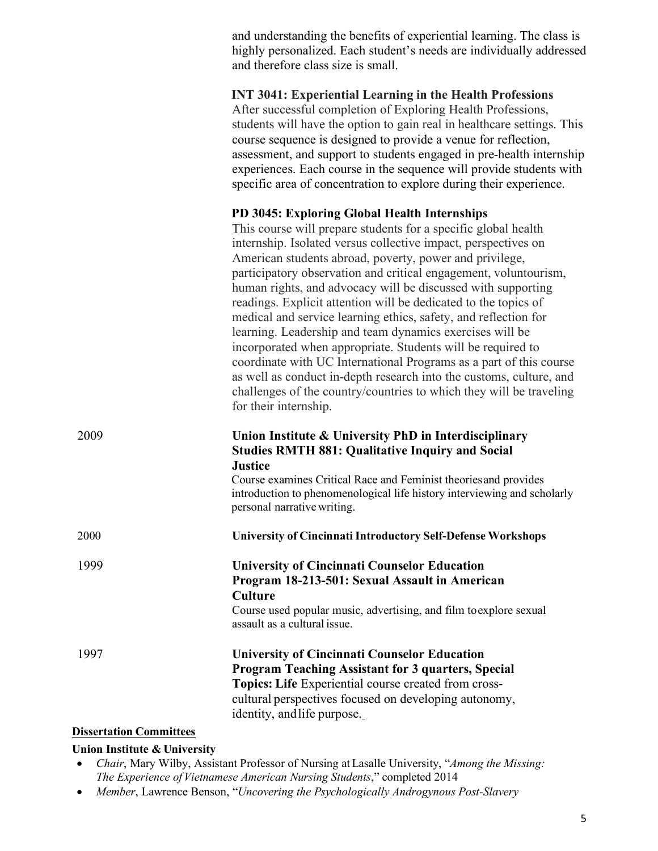and understanding the benefits of experiential learning. The class is highly personalized. Each student's needs are individually addressed and therefore class size is small.

**INT 3041: Experiential Learning in the Health Professions** After successful completion of Exploring Health Professions, students will have the option to gain real in healthcare settings. This course sequence is designed to provide a venue for reflection, assessment, and support to students engaged in pre-health internship experiences. Each course in the sequence will provide students with specific area of concentration to explore during their experience.

## **PD 3045: Exploring Global Health Internships**

This course will prepare students for a specific global health internship. Isolated versus collective impact, perspectives on American students abroad, poverty, power and privilege, participatory observation and critical engagement, voluntourism, human rights, and advocacy will be discussed with supporting readings. Explicit attention will be dedicated to the topics of medical and service learning ethics, safety, and reflection for learning. Leadership and team dynamics exercises will be incorporated when appropriate. Students will be required to coordinate with UC International Programs as a part of this course as well as conduct in-depth research into the customs, culture, and challenges of the country/countries to which they will be traveling for their internship.

| 2009 | Union Institute & University PhD in Interdisciplinary<br><b>Studies RMTH 881: Qualitative Inquiry and Social</b><br><b>Justice</b><br>Course examines Critical Race and Feminist theories and provides<br>introduction to phenomenological life history interviewing and scholarly<br>personal narrative writing. |
|------|-------------------------------------------------------------------------------------------------------------------------------------------------------------------------------------------------------------------------------------------------------------------------------------------------------------------|
| 2000 | <b>University of Cincinnati Introductory Self-Defense Workshops</b>                                                                                                                                                                                                                                               |
| 1999 | <b>University of Cincinnati Counselor Education</b><br>Program 18-213-501: Sexual Assault in American<br><b>Culture</b><br>Course used popular music, advertising, and film to explore sexual<br>assault as a cultural issue.                                                                                     |
| 1997 | <b>University of Cincinnati Counselor Education</b><br><b>Program Teaching Assistant for 3 quarters, Special</b><br>Topics: Life Experiential course created from cross-<br>cultural perspectives focused on developing autonomy,<br>identity, and life purpose.                                                  |

#### **Dissertation Committees**

#### **Union Institute & University**

- *Chair*, Mary Wilby, Assistant Professor of Nursing at Lasalle University, "*Among the Missing: The Experience ofVietnamese American Nursing Students*," completed 2014
- *Member*, Lawrence Benson, "*Uncovering the Psychologically Androgynous Post-Slavery*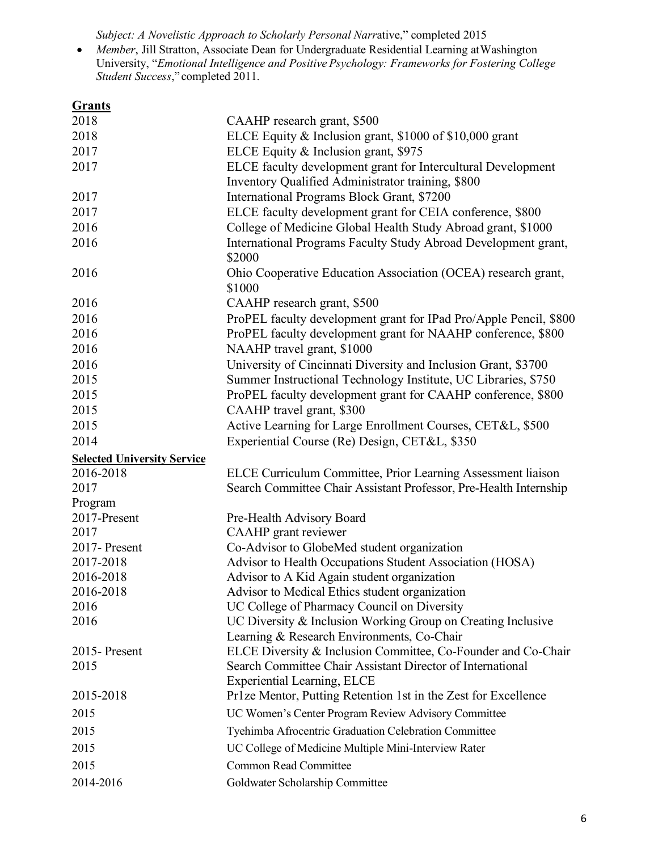*Subject: A Novelistic Approach to Scholarly Personal Narr*ative," completed 2015

• *Member*, Jill Stratton, Associate Dean for Undergraduate Residential Learning atWashington University, "*Emotional Intelligence and Positive Psychology: Frameworks for Fostering College Student Success*," completed 2011.

| <b>Grants</b>                      |                                                                   |
|------------------------------------|-------------------------------------------------------------------|
| 2018                               | CAAHP research grant, \$500                                       |
| 2018                               | ELCE Equity & Inclusion grant, \$1000 of \$10,000 grant           |
| 2017                               | ELCE Equity & Inclusion grant, \$975                              |
| 2017                               | ELCE faculty development grant for Intercultural Development      |
|                                    | Inventory Qualified Administrator training, \$800                 |
| 2017                               | International Programs Block Grant, \$7200                        |
| 2017                               | ELCE faculty development grant for CEIA conference, \$800         |
| 2016                               | College of Medicine Global Health Study Abroad grant, \$1000      |
| 2016                               | International Programs Faculty Study Abroad Development grant,    |
|                                    | \$2000                                                            |
| 2016                               | Ohio Cooperative Education Association (OCEA) research grant,     |
|                                    | \$1000                                                            |
| 2016                               | CAAHP research grant, \$500                                       |
| 2016                               | ProPEL faculty development grant for IPad Pro/Apple Pencil, \$800 |
| 2016                               | ProPEL faculty development grant for NAAHP conference, \$800      |
| 2016                               | NAAHP travel grant, \$1000                                        |
| 2016                               | University of Cincinnati Diversity and Inclusion Grant, \$3700    |
| 2015                               | Summer Instructional Technology Institute, UC Libraries, \$750    |
| 2015                               | ProPEL faculty development grant for CAAHP conference, \$800      |
| 2015                               | CAAHP travel grant, \$300                                         |
| 2015                               | Active Learning for Large Enrollment Courses, CET&L, \$500        |
| 2014                               | Experiential Course (Re) Design, CET&L, \$350                     |
|                                    |                                                                   |
|                                    |                                                                   |
| <b>Selected University Service</b> |                                                                   |
| 2016-2018<br>2017                  | ELCE Curriculum Committee, Prior Learning Assessment liaison      |
|                                    | Search Committee Chair Assistant Professor, Pre-Health Internship |
| Program<br>2017-Present            | Pre-Health Advisory Board                                         |
| 2017                               | CAAHP grant reviewer                                              |
| 2017-Present                       | Co-Advisor to GlobeMed student organization                       |
| 2017-2018                          | Advisor to Health Occupations Student Association (HOSA)          |
| 2016-2018                          | Advisor to A Kid Again student organization                       |
| 2016-2018                          | Advisor to Medical Ethics student organization                    |
| 2016                               | UC College of Pharmacy Council on Diversity                       |
| 2016                               | UC Diversity & Inclusion Working Group on Creating Inclusive      |
|                                    | Learning & Research Environments, Co-Chair                        |
| 2015-Present                       | ELCE Diversity & Inclusion Committee, Co-Founder and Co-Chair     |
| 2015                               | Search Committee Chair Assistant Director of International        |
|                                    | <b>Experiential Learning, ELCE</b>                                |
| 2015-2018                          | Pr1ze Mentor, Putting Retention 1st in the Zest for Excellence    |
| 2015                               | UC Women's Center Program Review Advisory Committee               |
| 2015                               | Tyehimba Afrocentric Graduation Celebration Committee             |
| 2015                               | UC College of Medicine Multiple Mini-Interview Rater              |
| 2015                               | <b>Common Read Committee</b>                                      |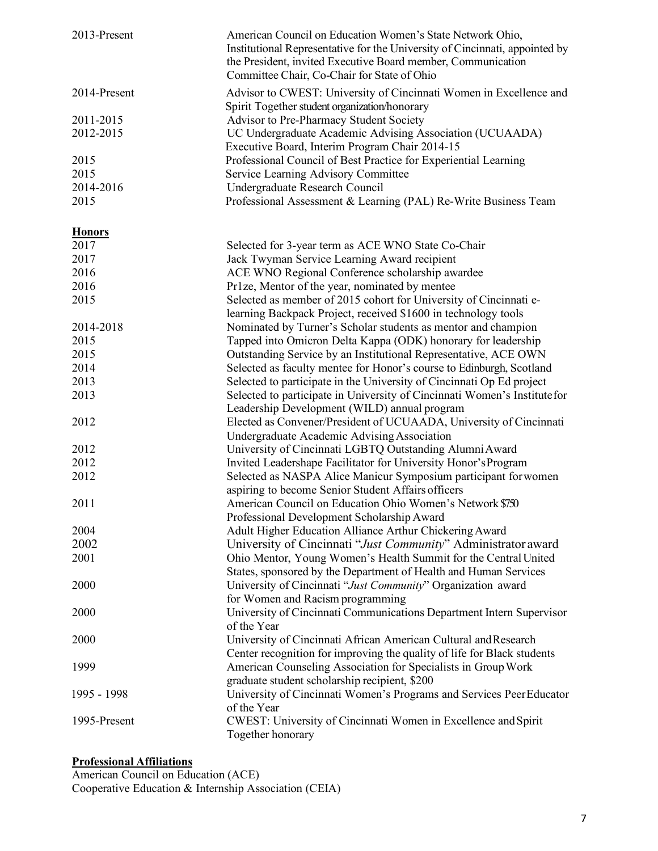| 2013-Present  | American Council on Education Women's State Network Ohio,<br>Institutional Representative for the University of Cincinnati, appointed by<br>the President, invited Executive Board member, Communication<br>Committee Chair, Co-Chair for State of Ohio |
|---------------|---------------------------------------------------------------------------------------------------------------------------------------------------------------------------------------------------------------------------------------------------------|
| 2014-Present  | Advisor to CWEST: University of Cincinnati Women in Excellence and<br>Spirit Together student organization/honorary                                                                                                                                     |
| 2011-2015     | Advisor to Pre-Pharmacy Student Society                                                                                                                                                                                                                 |
| 2012-2015     | UC Undergraduate Academic Advising Association (UCUAADA)                                                                                                                                                                                                |
|               | Executive Board, Interim Program Chair 2014-15                                                                                                                                                                                                          |
| 2015          | Professional Council of Best Practice for Experiential Learning                                                                                                                                                                                         |
| 2015          | Service Learning Advisory Committee                                                                                                                                                                                                                     |
| 2014-2016     | Undergraduate Research Council                                                                                                                                                                                                                          |
| 2015          | Professional Assessment & Learning (PAL) Re-Write Business Team                                                                                                                                                                                         |
| <b>Honors</b> |                                                                                                                                                                                                                                                         |
| 2017          | Selected for 3-year term as ACE WNO State Co-Chair                                                                                                                                                                                                      |
| 2017          | Jack Twyman Service Learning Award recipient                                                                                                                                                                                                            |
| 2016          | ACE WNO Regional Conference scholarship awardee                                                                                                                                                                                                         |
| 2016          | Pr1ze, Mentor of the year, nominated by mentee                                                                                                                                                                                                          |
| 2015          | Selected as member of 2015 cohort for University of Cincinnati e-                                                                                                                                                                                       |
|               | learning Backpack Project, received \$1600 in technology tools                                                                                                                                                                                          |
| 2014-2018     | Nominated by Turner's Scholar students as mentor and champion                                                                                                                                                                                           |
| 2015          | Tapped into Omicron Delta Kappa (ODK) honorary for leadership                                                                                                                                                                                           |
| 2015          | Outstanding Service by an Institutional Representative, ACE OWN                                                                                                                                                                                         |
| 2014          | Selected as faculty mentee for Honor's course to Edinburgh, Scotland                                                                                                                                                                                    |
| 2013          | Selected to participate in the University of Cincinnati Op Ed project                                                                                                                                                                                   |
| 2013          | Selected to participate in University of Cincinnati Women's Institute for                                                                                                                                                                               |
|               | Leadership Development (WILD) annual program                                                                                                                                                                                                            |
| 2012          | Elected as Convener/President of UCUAADA, University of Cincinnati                                                                                                                                                                                      |
|               | Undergraduate Academic Advising Association                                                                                                                                                                                                             |
| 2012          | University of Cincinnati LGBTQ Outstanding Alumni Award                                                                                                                                                                                                 |
| 2012          | Invited Leadershape Facilitator for University Honor's Program                                                                                                                                                                                          |
| 2012          | Selected as NASPA Alice Manicur Symposium participant for women                                                                                                                                                                                         |
|               | aspiring to become Senior Student Affairs officers                                                                                                                                                                                                      |
| 2011          | American Council on Education Ohio Women's Network \$750                                                                                                                                                                                                |
|               | Professional Development Scholarship Award                                                                                                                                                                                                              |
| 2004          | Adult Higher Education Alliance Arthur Chickering Award                                                                                                                                                                                                 |
| 2002          | University of Cincinnati "Just Community" Administrator award                                                                                                                                                                                           |
| 2001          | Ohio Mentor, Young Women's Health Summit for the Central United                                                                                                                                                                                         |
|               | States, sponsored by the Department of Health and Human Services                                                                                                                                                                                        |
| 2000          | University of Cincinnati "Just Community" Organization award                                                                                                                                                                                            |
|               | for Women and Racism programming                                                                                                                                                                                                                        |
| 2000          | University of Cincinnati Communications Department Intern Supervisor                                                                                                                                                                                    |
|               | of the Year                                                                                                                                                                                                                                             |
| 2000          | University of Cincinnati African American Cultural and Research                                                                                                                                                                                         |
|               | Center recognition for improving the quality of life for Black students                                                                                                                                                                                 |
| 1999          | American Counseling Association for Specialists in Group Work                                                                                                                                                                                           |
|               | graduate student scholarship recipient, \$200                                                                                                                                                                                                           |
| 1995 - 1998   | University of Cincinnati Women's Programs and Services PeerEducator<br>of the Year                                                                                                                                                                      |
| 1995-Present  | CWEST: University of Cincinnati Women in Excellence and Spirit                                                                                                                                                                                          |
|               | Together honorary                                                                                                                                                                                                                                       |

#### **Professional Affiliations**

American Council on Education (ACE) Cooperative Education & Internship Association (CEIA)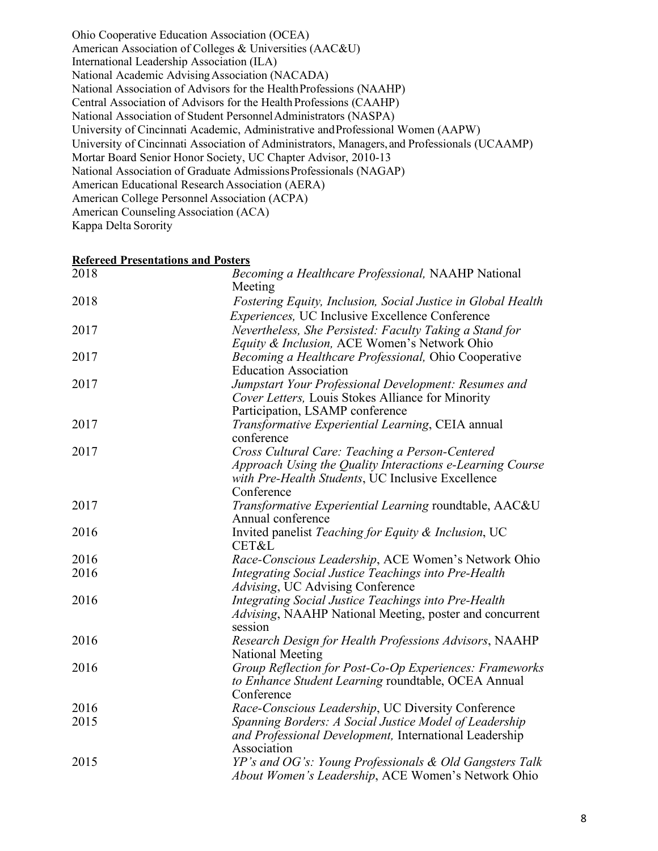Ohio Cooperative Education Association (OCEA) American Association of Colleges & Universities (AAC&U) International Leadership Association (ILA) National Academic AdvisingAssociation (NACADA) National Association of Advisors for the HealthProfessions (NAAHP) Central Association of Advisors for the Health Professions (CAAHP) National Association of Student PersonnelAdministrators (NASPA) University of Cincinnati Academic, Administrative andProfessional Women (AAPW) University of Cincinnati Association of Administrators, Managers, and Professionals (UCAAMP) Mortar Board Senior Honor Society, UC Chapter Advisor, 2010-13 National Association of Graduate AdmissionsProfessionals (NAGAP) American Educational Research Association (AERA) American College Personnel Association (ACPA) American Counseling Association (ACA) Kappa Delta Sorority

**Refereed Presentations and Posters**

| <u>Referènd i resentations and I osters</u> |                                                              |
|---------------------------------------------|--------------------------------------------------------------|
| 2018                                        | Becoming a Healthcare Professional, NAAHP National           |
|                                             | Meeting                                                      |
| 2018                                        | Fostering Equity, Inclusion, Social Justice in Global Health |
|                                             | <i>Experiences</i> , UC Inclusive Excellence Conference      |
| 2017                                        | Nevertheless, She Persisted: Faculty Taking a Stand for      |
|                                             | Equity & Inclusion, ACE Women's Network Ohio                 |
| 2017                                        | Becoming a Healthcare Professional, Ohio Cooperative         |
|                                             | <b>Education Association</b>                                 |
| 2017                                        | Jumpstart Your Professional Development: Resumes and         |
|                                             | Cover Letters, Louis Stokes Alliance for Minority            |
|                                             | Participation, LSAMP conference                              |
| 2017                                        | Transformative Experiential Learning, CEIA annual            |
|                                             | conference                                                   |
| 2017                                        | Cross Cultural Care: Teaching a Person-Centered              |
|                                             | Approach Using the Quality Interactions e-Learning Course    |
|                                             | with Pre-Health Students, UC Inclusive Excellence            |
|                                             | Conference                                                   |
| 2017                                        | Transformative Experiential Learning roundtable, AAC&U       |
|                                             | Annual conference                                            |
| 2016                                        | Invited panelist Teaching for Equity & Inclusion, UC         |
|                                             | CET&L                                                        |
| 2016                                        | Race-Conscious Leadership, ACE Women's Network Ohio          |
| 2016                                        | Integrating Social Justice Teachings into Pre-Health         |
|                                             | Advising, UC Advising Conference                             |
| 2016                                        | Integrating Social Justice Teachings into Pre-Health         |
|                                             | Advising, NAAHP National Meeting, poster and concurrent      |
|                                             | session                                                      |
| 2016                                        | Research Design for Health Professions Advisors, NAAHP       |
|                                             | National Meeting                                             |
| 2016                                        | Group Reflection for Post-Co-Op Experiences: Frameworks      |
|                                             | to Enhance Student Learning roundtable, OCEA Annual          |
|                                             | Conference                                                   |
| 2016                                        | Race-Conscious Leadership, UC Diversity Conference           |
| 2015                                        | Spanning Borders: A Social Justice Model of Leadership       |
|                                             | and Professional Development, International Leadership       |
|                                             | Association                                                  |
| 2015                                        | YP's and OG's: Young Professionals & Old Gangsters Talk      |
|                                             | About Women's Leadership, ACE Women's Network Ohio           |
|                                             |                                                              |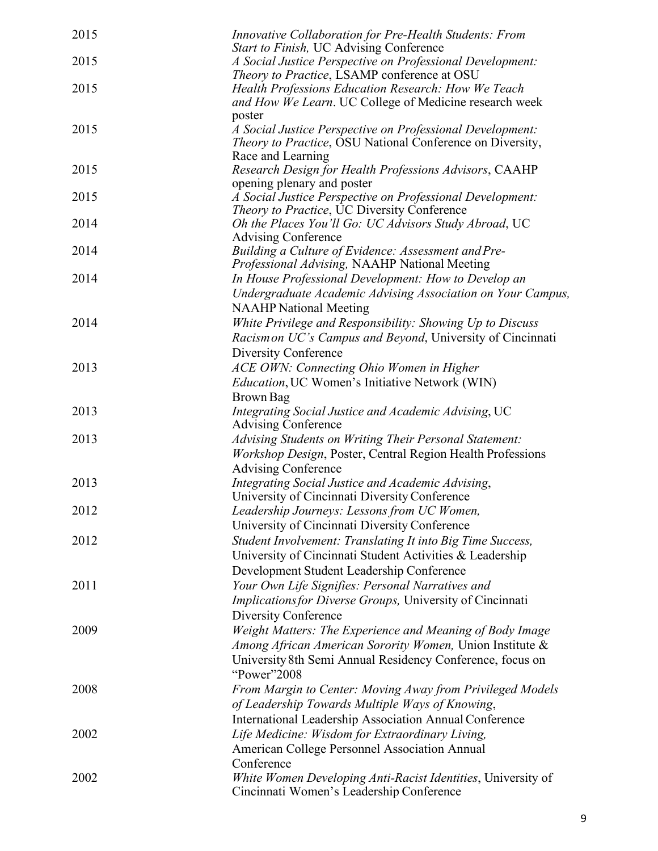| 2015 | Innovative Collaboration for Pre-Health Students: From<br>Start to Finish, UC Advising Conference        |
|------|----------------------------------------------------------------------------------------------------------|
| 2015 | A Social Justice Perspective on Professional Development:<br>Theory to Practice, LSAMP conference at OSU |
| 2015 | Health Professions Education Research: How We Teach                                                      |
|      | and How We Learn. UC College of Medicine research week                                                   |
|      | poster                                                                                                   |
| 2015 | A Social Justice Perspective on Professional Development:                                                |
|      | Theory to Practice, OSU National Conference on Diversity,                                                |
|      | Race and Learning                                                                                        |
| 2015 | Research Design for Health Professions Advisors, CAAHP                                                   |
|      | opening plenary and poster                                                                               |
| 2015 | A Social Justice Perspective on Professional Development:                                                |
|      | Theory to Practice, UC Diversity Conference                                                              |
| 2014 | Oh the Places You'll Go: UC Advisors Study Abroad, UC                                                    |
|      | <b>Advising Conference</b>                                                                               |
| 2014 | Building a Culture of Evidence: Assessment and Pre-<br>Professional Advising, NAAHP National Meeting     |
| 2014 | In House Professional Development: How to Develop an                                                     |
|      | Undergraduate Academic Advising Association on Your Campus,                                              |
|      | <b>NAAHP</b> National Meeting                                                                            |
| 2014 | White Privilege and Responsibility: Showing Up to Discuss                                                |
|      | Racismon UC's Campus and Beyond, University of Cincinnati                                                |
|      | Diversity Conference                                                                                     |
| 2013 | ACE OWN: Connecting Ohio Women in Higher                                                                 |
|      | <i>Education</i> , UC Women's Initiative Network (WIN)                                                   |
|      | Brown Bag                                                                                                |
| 2013 | Integrating Social Justice and Academic Advising, UC                                                     |
|      | <b>Advising Conference</b>                                                                               |
| 2013 | Advising Students on Writing Their Personal Statement:                                                   |
|      | Workshop Design, Poster, Central Region Health Professions                                               |
|      | <b>Advising Conference</b>                                                                               |
| 2013 | Integrating Social Justice and Academic Advising,                                                        |
|      | University of Cincinnati Diversity Conference                                                            |
| 2012 | Leadership Journeys: Lessons from UC Women,                                                              |
|      | University of Cincinnati Diversity Conference                                                            |
| 2012 | Student Involvement: Translating It into Big Time Success,                                               |
|      | University of Cincinnati Student Activities & Leadership                                                 |
|      | Development Student Leadership Conference                                                                |
| 2011 | Your Own Life Signifies: Personal Narratives and                                                         |
|      | <i>Implications for Diverse Groups</i> , University of Cincinnati                                        |
|      | Diversity Conference                                                                                     |
| 2009 | Weight Matters: The Experience and Meaning of Body Image                                                 |
|      | Among African American Sorority Women, Union Institute &                                                 |
|      | University 8th Semi Annual Residency Conference, focus on                                                |
|      | "Power"2008                                                                                              |
| 2008 | From Margin to Center: Moving Away from Privileged Models                                                |
|      | of Leadership Towards Multiple Ways of Knowing,                                                          |
|      | International Leadership Association Annual Conference                                                   |
| 2002 | Life Medicine: Wisdom for Extraordinary Living,                                                          |
|      | American College Personnel Association Annual                                                            |
|      | Conference                                                                                               |
| 2002 | White Women Developing Anti-Racist Identities, University of                                             |
|      | Cincinnati Women's Leadership Conference                                                                 |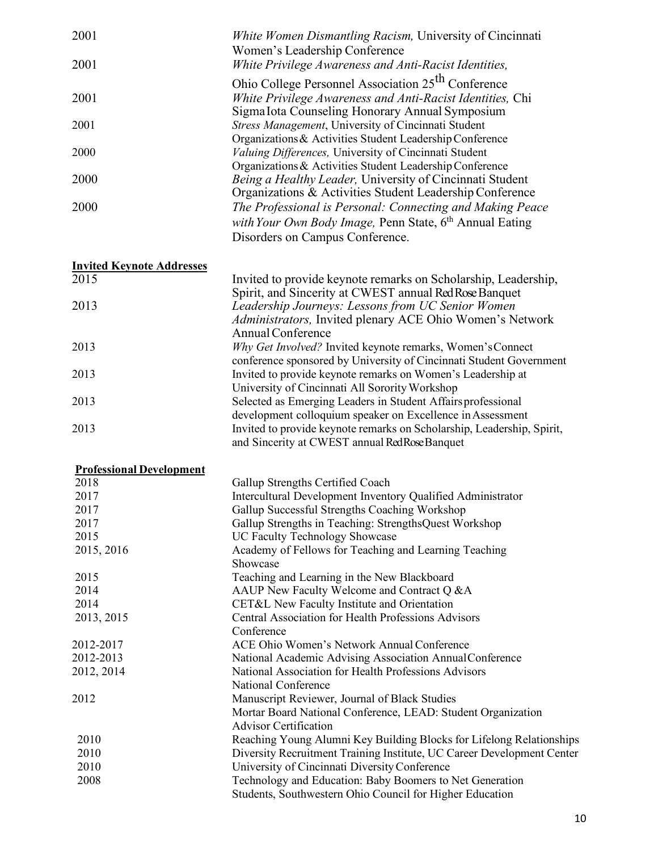| 2001                             | White Women Dismantling Racism, University of Cincinnati                                                                                                            |
|----------------------------------|---------------------------------------------------------------------------------------------------------------------------------------------------------------------|
|                                  | Women's Leadership Conference                                                                                                                                       |
| 2001                             | White Privilege Awareness and Anti-Racist Identities,                                                                                                               |
| 2001                             | Ohio College Personnel Association 25 <sup>th</sup> Conference<br>White Privilege Awareness and Anti-Racist Identities, Chi                                         |
| 2001                             | Sigma Iota Counseling Honorary Annual Symposium<br>Stress Management, University of Cincinnati Student                                                              |
|                                  | Organizations & Activities Student Leadership Conference                                                                                                            |
| 2000                             | Valuing Differences, University of Cincinnati Student<br>Organizations & Activities Student Leadership Conference                                                   |
| 2000                             | Being a Healthy Leader, University of Cincinnati Student<br>Organizations & Activities Student Leadership Conference                                                |
| 2000                             | The Professional is Personal: Connecting and Making Peace<br>with Your Own Body Image, Penn State, 6 <sup>th</sup> Annual Eating<br>Disorders on Campus Conference. |
| <b>Invited Keynote Addresses</b> |                                                                                                                                                                     |
| 2015                             | Invited to provide keynote remarks on Scholarship, Leadership,<br>Spirit, and Sincerity at CWEST annual Red Rose Banquet                                            |
| 2013                             | Leadership Journeys: Lessons from UC Senior Women<br>Administrators, Invited plenary ACE Ohio Women's Network<br><b>Annual Conference</b>                           |
| 2013                             | Why Get Involved? Invited keynote remarks, Women's Connect<br>conference sponsored by University of Cincinnati Student Government                                   |
| 2013                             | Invited to provide keynote remarks on Women's Leadership at<br>University of Cincinnati All Sorority Workshop                                                       |
| 2013                             | Selected as Emerging Leaders in Student Affairs professional<br>development colloquium speaker on Excellence in Assessment                                          |
| 2013                             | Invited to provide keynote remarks on Scholarship, Leadership, Spirit,<br>and Sincerity at CWEST annual RedRose Banquet                                             |
| <b>Professional Development</b>  |                                                                                                                                                                     |
| 2018                             | Gallup Strengths Certified Coach                                                                                                                                    |
| 2017                             | Intercultural Development Inventory Qualified Administrator                                                                                                         |
| 2017                             | Gallup Successful Strengths Coaching Workshop                                                                                                                       |
| 2017                             | Gallup Strengths in Teaching: StrengthsQuest Workshop                                                                                                               |
| 2015                             | UC Faculty Technology Showcase                                                                                                                                      |
| 2015, 2016                       | Academy of Fellows for Teaching and Learning Teaching<br>Showcase                                                                                                   |
| 2015                             | Teaching and Learning in the New Blackboard                                                                                                                         |
| 2014                             | AAUP New Faculty Welcome and Contract Q &A                                                                                                                          |
| 2014                             | CET&L New Faculty Institute and Orientation                                                                                                                         |
| 2013, 2015                       | Central Association for Health Professions Advisors<br>Conference                                                                                                   |
| 2012-2017                        | ACE Ohio Women's Network Annual Conference                                                                                                                          |
| 2012-2013                        | National Academic Advising Association AnnualConference                                                                                                             |
| 2012, 2014                       | National Association for Health Professions Advisors                                                                                                                |

National Conference 2012 Manuscript Reviewer, Journal of Black Studies Mortar Board National Conference, LEAD: Student Organization Advisor Certification 2010 Reaching Young Alumni Key Building Blocks for Lifelong Relationships 2010 Diversity Recruitment Training Institute, UC Career Development Center 2010 University of Cincinnati Diversity Conference<br>2008 Technology and Education: Baby Boomers to 1 Technology and Education: Baby Boomers to Net Generation Students, Southwestern Ohio Council for Higher Education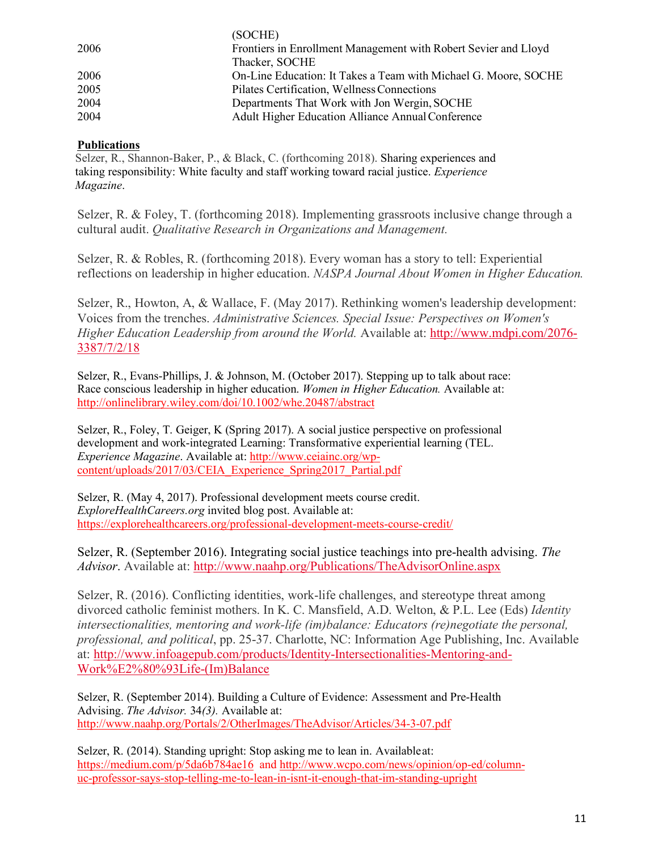|      | (SOCHE)                                                         |
|------|-----------------------------------------------------------------|
| 2006 | Frontiers in Enrollment Management with Robert Sevier and Lloyd |
|      | Thacker, SOCHE                                                  |
| 2006 | On-Line Education: It Takes a Team with Michael G. Moore, SOCHE |
| 2005 | Pilates Certification, Wellness Connections                     |
| 2004 | Departments That Work with Jon Wergin, SOCHE                    |
| 2004 | <b>Adult Higher Education Alliance Annual Conference</b>        |

### **Publications**

Selzer, R., Shannon-Baker, P., & Black, C. (forthcoming 2018). Sharing experiences and taking responsibility: White faculty and staff working toward racial justice. *Experience Magazine*.

Selzer, R. & Foley, T. (forthcoming 2018). Implementing grassroots inclusive change through a cultural audit. *Qualitative Research in Organizations and Management.*

Selzer, R. & Robles, R. (forthcoming 2018). Every woman has a story to tell: Experiential reflections on leadership in higher education. *NASPA Journal About Women in Higher Education.*

Selzer, R., Howton, A, & Wallace, F. (May 2017). Rethinking women's leadership development: Voices from the trenches. *Administrative Sciences. Special Issue: Perspectives on Women's Higher Education Leadership from around the World.* Available at: http://www.mdpi.com/2076- 3387/7/2/18

Selzer, R., Evans-Phillips, J. & Johnson, M. (October 2017). Stepping up to talk about race: Race conscious leadership in higher education. *Women in Higher Education.* Available at: http://onlinelibrary.wiley.com/doi/10.1002/whe.20487/abstract

Selzer, R., Foley, T. Geiger, K (Spring 2017). A social justice perspective on professional development and work-integrated Learning: Transformative experiential learning (TEL. *Experience Magazine*. Available at: http://www.ceiainc.org/wpcontent/uploads/2017/03/CEIA\_Experience\_Spring2017\_Partial.pdf

Selzer, R. (May 4, 2017). Professional development meets course credit. *ExploreHealthCareers.org* invited blog post. Available at: https://explorehealthcareers.org/professional-development-meets-course-credit/

Selzer, R. (September 2016). Integrating social justice teachings into pre-health advising. *The Advisor*. Available at: http://www.naahp.org/Publications/TheAdvisorOnline.aspx

Selzer, R. (2016). Conflicting identities, work-life challenges, and stereotype threat among divorced catholic feminist mothers. In K. C. Mansfield, A.D. Welton, & P.L. Lee (Eds) *Identity intersectionalities, mentoring and work-life (im)balance: Educators (re)negotiate the personal, professional, and political*, pp. 25-37. Charlotte, NC: Information Age Publishing, Inc. Available at: http://www.infoagepub.com/products/Identity-Intersectionalities-Mentoring-and-Work%E2%80%93Life-(Im)Balance

Selzer, R. (September 2014). Building a Culture of Evidence: Assessment and Pre-Health Advising. *The Advisor.* 34*(3).* Available at: http://www.naahp.org/Portals/2/OtherImages/TheAdvisor/Articles/34-3-07.pdf

Selzer, R. (2014). Standing upright: Stop asking me to lean in. Availableat: https://medium.com/p/5da6b784ae16 and http://www.wcpo.com/news/opinion/op-ed/columnuc-professor-says-stop-telling-me-to-lean-in-isnt-it-enough-that-im-standing-upright